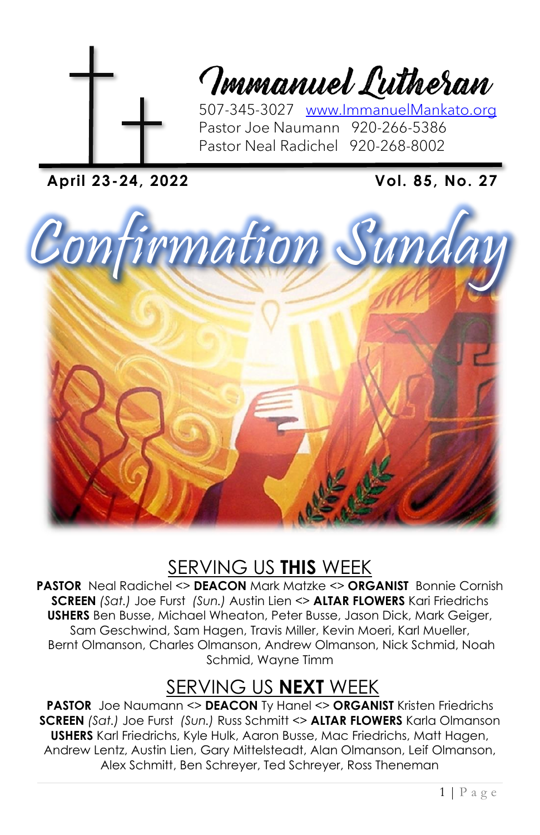

Tmmanuel Lutheran

507-345-3027 [www.ImmanuelMankato.org](http://www.immanuelmankato.org/) Pastor Joe Naumann 920-266-5386 Pastor Neal Radichel 920-268-8002

**April 23-24, 2022 Vol. 85, No. 27**



## SERVING US **THIS** WEEK

**PASTOR** Neal Radichel <> **DEACON** Mark Matzke <> **ORGANIST** Bonnie Cornish **SCREEN** *(Sat.)* Joe Furst *(Sun.)* Austin Lien <> **ALTAR FLOWERS** Kari Friedrichs **USHERS** Ben Busse, Michael Wheaton, Peter Busse, Jason Dick, Mark Geiger, Sam Geschwind, Sam Hagen, Travis Miller, Kevin Moeri, Karl Mueller, Bernt Olmanson, Charles Olmanson, Andrew Olmanson, Nick Schmid, Noah Schmid, Wayne Timm

## SERVING US **NEXT** WEEK

**PASTOR** Joe Naumann <> **DEACON** Ty Hanel <> **ORGANIST** Kristen Friedrichs **SCREEN** *(Sat.)* Joe Furst *(Sun.)* Russ Schmitt <> **ALTAR FLOWERS** Karla Olmanson **USHERS** Karl Friedrichs, Kyle Hulk, Aaron Busse, Mac Friedrichs, Matt Hagen, Andrew Lentz, Austin Lien, Gary Mittelsteadt, Alan Olmanson, Leif Olmanson, Alex Schmitt, Ben Schreyer, Ted Schreyer, Ross Theneman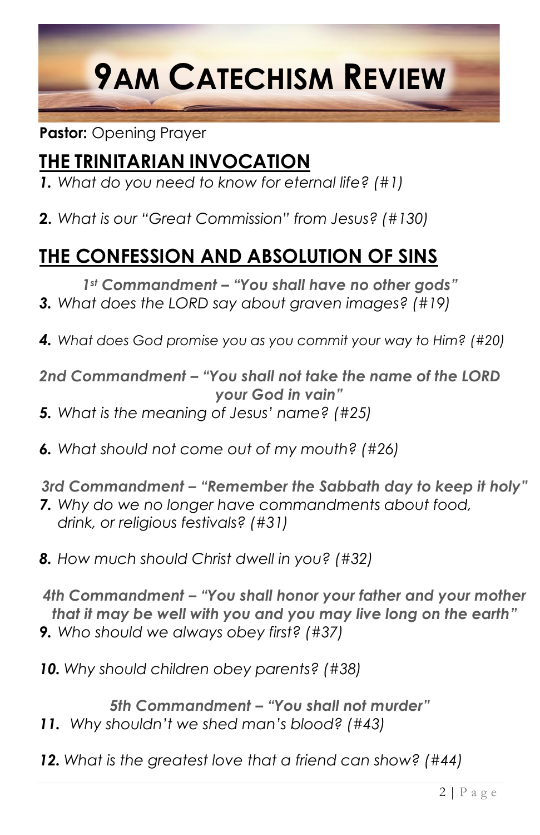

#### **Pastor:** Opening Prayer

## **THE TRINITARIAN INVOCATION**

- *1. What do you need to know for eternal life? (#1)*
- **2.** *What is our "Great Commission" from Jesus? (#130)*

## **THE CONFESSION AND ABSOLUTION OF SINS**

*1st Commandment – "You shall have no other gods"*

- *3. What does the LORD say about graven images? (#19)*
- *4. What does God promise you as you commit your way to Him? (#20)*

*2nd Commandment – "You shall not take the name of the LORD your God in vain"*

- *5. What is the meaning of Jesus' name? (#25)*
- *6. What should not come out of my mouth? (#26)*

*3rd Commandment – "Remember the Sabbath day to keep it holy"*

- *7. Why do we no longer have commandments about food, drink, or religious festivals? (#31)*
- *8. How much should Christ dwell in you? (#32)*

*4th Commandment – "You shall honor your father and your mother that it may be well with you and you may live long on the earth" 9. Who should we always obey first? (#37)*

*10. Why should children obey parents? (#38)*

*5th Commandment – "You shall not murder" 11. Why shouldn't we shed man's blood? (#43)*

*12. What is the greatest love that a friend can show? (#44)*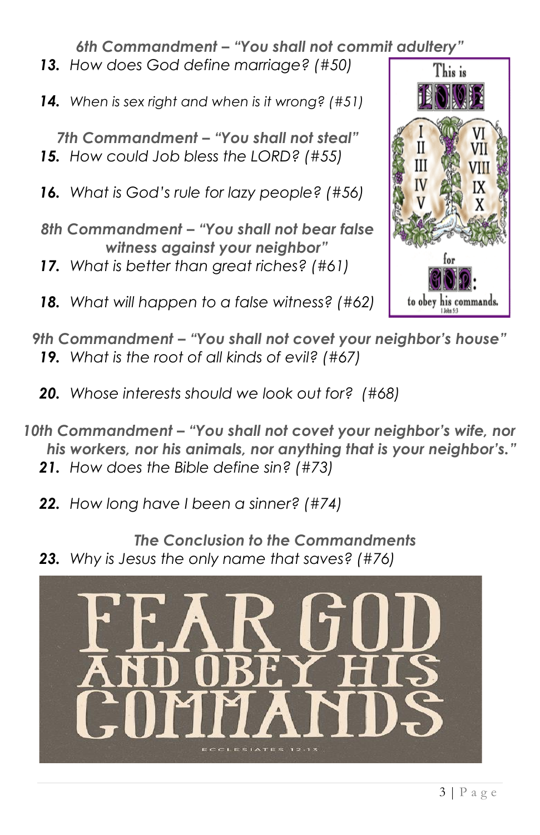*6th Commandment – "You shall not commit adultery"*

- *13. How does God define marriage? (#50)*
- *14. When is sex right and when is it wrong? (#51)*

*7th Commandment – "You shall not steal" 15. How could Job bless the LORD? (#55)*

*16. What is God's rule for lazy people? (#56)*

- *8th Commandment – "You shall not bear false witness against your neighbor"*
- *17. What is better than great riches? (#61)*
- *18. What will happen to a false witness? (#62)*



- *9th Commandment – "You shall not covet your neighbor's house" 19. What is the root of all kinds of evil? (#67)*
	- *20. Whose interests should we look out for? (#68)*
- 10th Commandment "You shall not covet your neighbor's wife, nor *his workers, nor his animals, nor anything that is your neighbor's."*
	- *21. How does the Bible define sin? (#73)*
	- *22. How long have I been a sinner? (#74)*
	- *The Conclusion to the Commandments 23. Why is Jesus the only name that saves? (#76)*

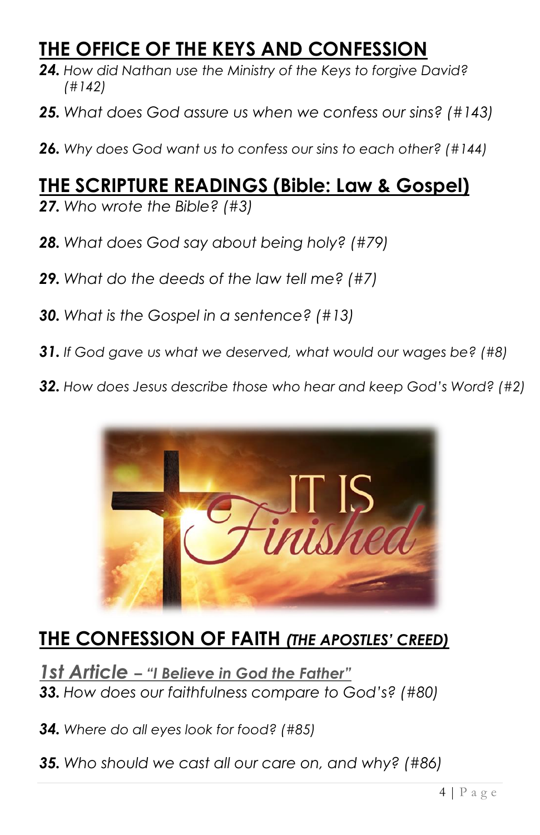## **THE OFFICE OF THE KEYS AND CONFESSION**

- *24. How did Nathan use the Ministry of the Keys to forgive David? (#142)*
- *25. What does God assure us when we confess our sins? (#143)*
- *26. Why does God want us to confess our sins to each other? (#144)*

## **THE SCRIPTURE READINGS (Bible: Law & Gospel)**

- *27. Who wrote the Bible? (#3)*
- *28. What does God say about being holy? (#79)*
- *29. What do the deeds of the law tell me? (#7)*
- *30. What is the Gospel in a sentence? (#13)*
- *31. If God gave us what we deserved, what would our wages be? (#8)*
- *32. How does Jesus describe those who hear and keep God's Word? (#2)*



## **THE CONFESSION OF FAITH** *(THE APOSTLES' CREED)*

*1st Article – "I Believe in God the Father" 33. How does our faithfulness compare to God's? (#80)*

*34. Where do all eyes look for food? (#85)*

*35. Who should we cast all our care on, and why? (#86)*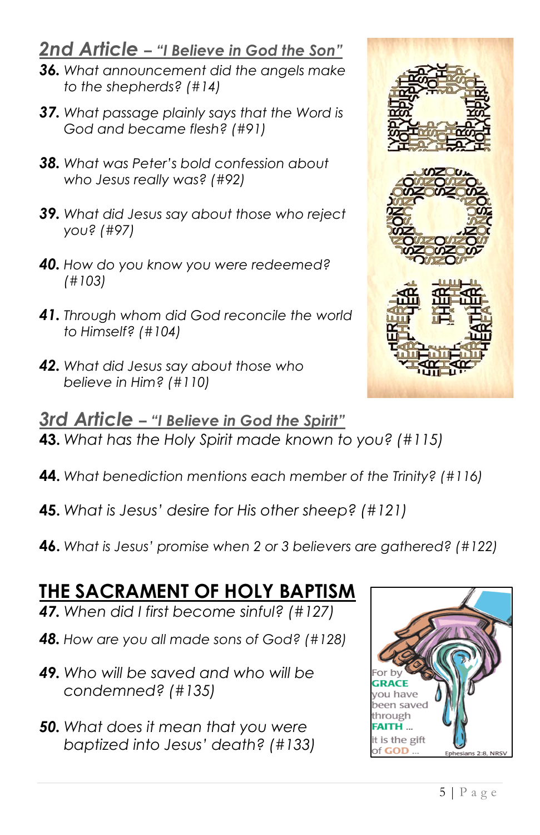### *2nd Article – "I Believe in God the Son"*

- *36. What announcement did the angels make to the shepherds? (#14)*
- *37. What passage plainly says that the Word is God and became flesh? (#91)*
- *38. What was Peter's bold confession about who Jesus really was? (#92)*
- *39. What did Jesus say about those who reject you? (#97)*
- *40. How do you know you were redeemed? (#103)*
- *41. Through whom did God reconcile the world to Himself? (#104)*
- *42. What did Jesus say about those who believe in Him? (#110)*
- *3rd Article – "I Believe in God the Spirit"* **43.** *What has the Holy Spirit made known to you? (#115)*
- **44.** *What benediction mentions each member of the Trinity? (#116)*
- **45.** *What is Jesus' desire for His other sheep? (#121)*
- **46.** *What is Jesus' promise when 2 or 3 believers are gathered? (#122)*

## **THE SACRAMENT OF HOLY BAPTISM**

- *47. When did I first become sinful? (#127)*
- *48. How are you all made sons of God? (#128)*
- *49. Who will be saved and who will be condemned? (#135)*
- *50. What does it mean that you were baptized into Jesus' death? (#133)*



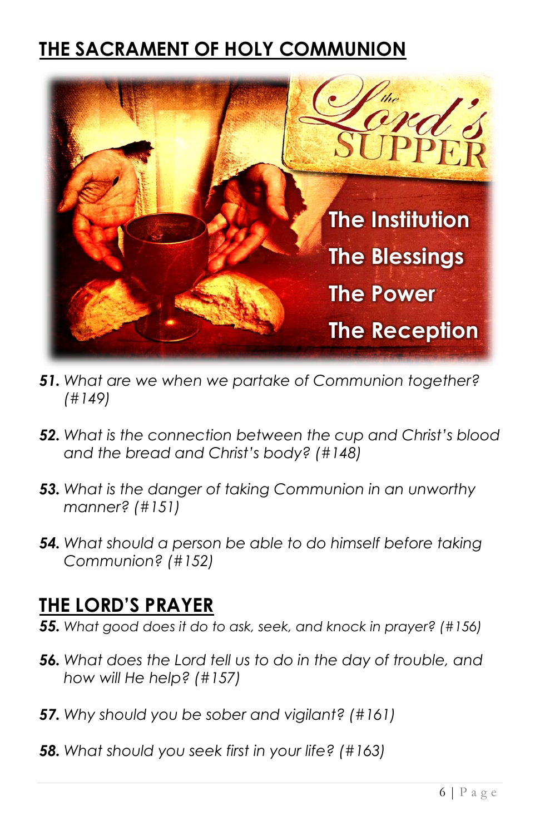## **THE SACRAMENT OF HOLY COMMUNION**



- *51. What are we when we partake of Communion together? (#149)*
- *52. What is the connection between the cup and Christ's blood and the bread and Christ's body? (#148)*
- *53. What is the danger of taking Communion in an unworthy manner? (#151)*
- *54. What should a person be able to do himself before taking Communion? (#152)*

### **THE LORD'S PRAYER**

*55. What good does it do to ask, seek, and knock in prayer? (#156)*

- *56. What does the Lord tell us to do in the day of trouble, and how will He help? (#157)*
- *57. Why should you be sober and vigilant? (#161)*
- *58. What should you seek first in your life? (#163)*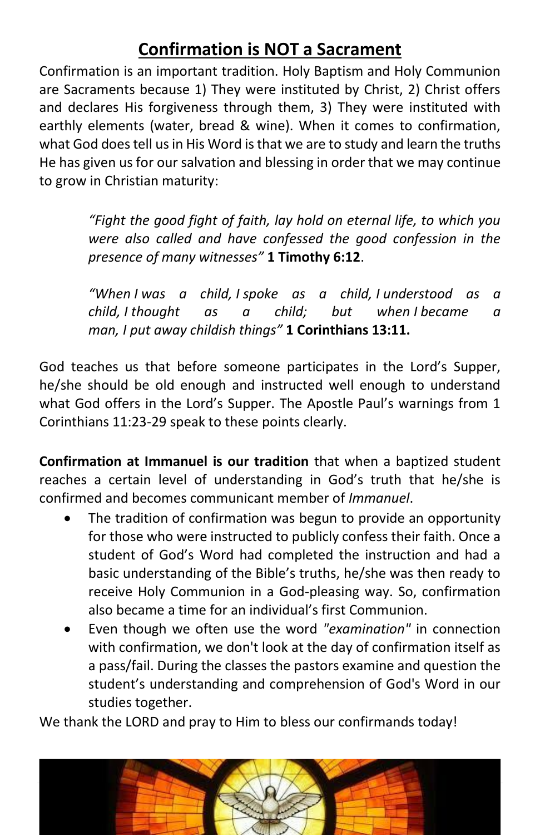### **Confirmation is NOT a Sacrament**

Confirmation is an important tradition. Holy Baptism and Holy Communion are Sacraments because 1) They were instituted by Christ, 2) Christ offers and declares His forgiveness through them, 3) They were instituted with earthly elements (water, bread & wine). When it comes to confirmation, what God does tell us in His Word is that we are to study and learn the truths He has given us for our salvation and blessing in order that we may continue to grow in Christian maturity:

> *"Fight the good fight of faith, lay hold on eternal life, to which you were also called and have confessed the good confession in the presence of many witnesses"* **1 Timothy 6:12**.

> *"When I was a child, I spoke as a child, I understood as a child, I thought as a child; but when I became a man, I put away childish things"* **1 Corinthians 13:11.**

God teaches us that before someone participates in the Lord's Supper, he/she should be old enough and instructed well enough to understand what God offers in the Lord's Supper. The Apostle Paul's warnings from 1 Corinthians 11:23-29 speak to these points clearly.

**Confirmation at Immanuel is our tradition** that when a baptized student reaches a certain level of understanding in God's truth that he/she is confirmed and becomes communicant member of *Immanuel*.

- The tradition of confirmation was begun to provide an opportunity for those who were instructed to publicly confess their faith. Once a student of God's Word had completed the instruction and had a basic understanding of the Bible's truths, he/she was then ready to receive Holy Communion in a God-pleasing way. So, confirmation also became a time for an individual's first Communion.
- Even though we often use the word *"examination"* in connection with confirmation, we don't look at the day of confirmation itself as a pass/fail. During the classes the pastors examine and question the student's understanding and comprehension of God's Word in our studies together.

We thank the LORD and pray to Him to bless our confirmands today!

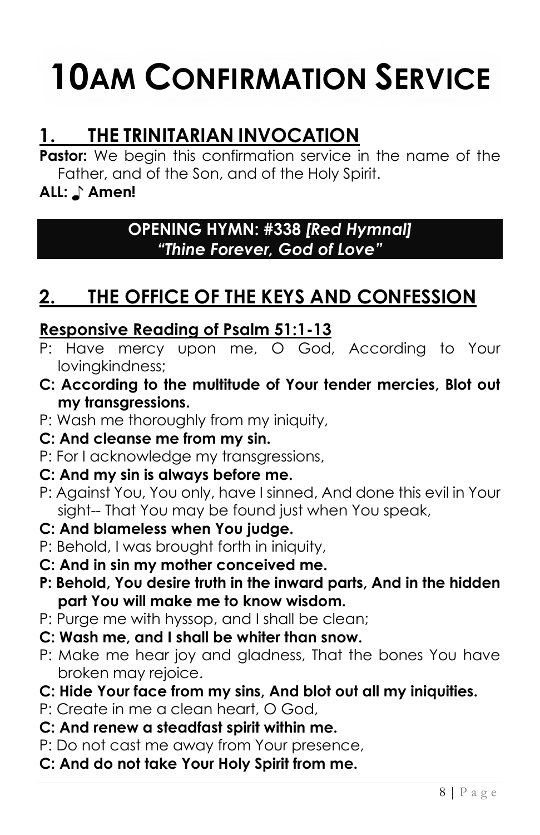# **10AM CONFIRMATION SERVICE**

## **1. THE TRINITARIAN INVOCATION**

Pastor: We begin this confirmation service in the name of the Father, and of the Son, and of the Holy Spirit.

#### **ALL:** ♪ **Amen!**

#### **OPENING HYMN: #338** *[Red Hymnal] "Thine Forever, God of Love"*

## **2. THE OFFICE OF THE KEYS AND CONFESSION**

#### **Responsive Reading of Psalm 51:1-13**

- P: Have mercy upon me, O God, According to Your lovingkindness;
- **C: According to the multitude of Your tender mercies, Blot out my transgressions.**
- P: Wash me thoroughly from my iniquity,

#### **C: And cleanse me from my sin.**

P: For I acknowledge my transgressions,

#### **C: And my sin is always before me.**

P: Against You, You only, have I sinned, And done this evil in Your sight-- That You may be found just when You speak,

#### **C: And blameless when You judge.**

- P: Behold, I was brought forth in iniquity,
- **C: And in sin my mother conceived me.**
- **P: Behold, You desire truth in the inward parts, And in the hidden part You will make me to know wisdom.**
- P: Purge me with hyssop, and I shall be clean;
- **C: Wash me, and I shall be whiter than snow.**
- P: Make me hear joy and gladness, That the bones You have broken may rejoice.
- **C: Hide Your face from my sins, And blot out all my iniquities.**
- P: Create in me a clean heart, O God,
- **C: And renew a steadfast spirit within me.**
- P: Do not cast me away from Your presence,
- **C: And do not take Your Holy Spirit from me.**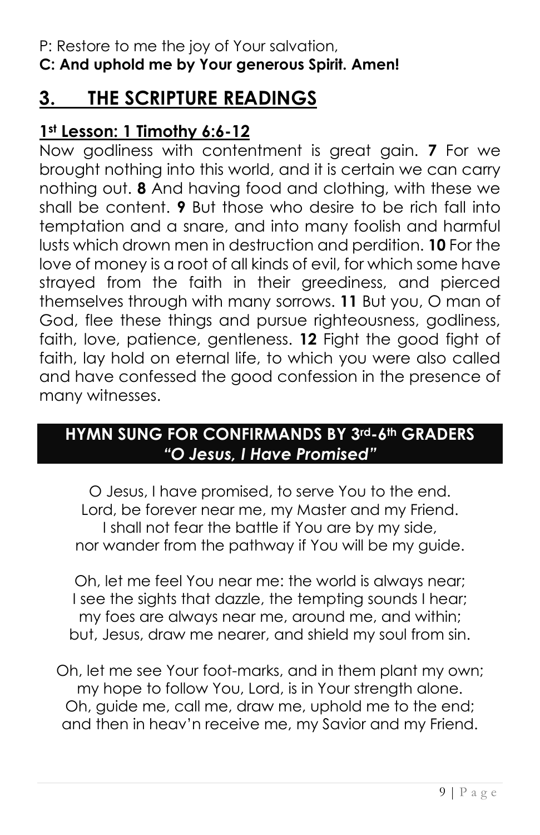#### P: Restore to me the joy of Your salvation, **C: And uphold me by Your generous Spirit. Amen!**

## **3. THE SCRIPTURE READINGS**

#### **1st Lesson: 1 Timothy 6:6-12**

Now godliness with contentment is great gain. **7** For we brought nothing into this world, and it is certain we can carry nothing out. **8** And having food and clothing, with these we shall be content. **9** But those who desire to be rich fall into temptation and a snare, and into many foolish and harmful lusts which drown men in destruction and perdition. **10** For the love of money is a root of all kinds of evil, for which some have strayed from the faith in their greediness, and pierced themselves through with many sorrows. **11** But you, O man of God, flee these things and pursue righteousness, godliness, faith, love, patience, gentleness. **12** Fight the good fight of faith, lay hold on eternal life, to which you were also called and have confessed the good confession in the presence of many witnesses.

#### **HYMN SUNG FOR CONFIRMANDS BY 3rd-6th GRADERS** *"O Jesus, I Have Promised"*

O Jesus, I have promised, to serve You to the end. Lord, be forever near me, my Master and my Friend. I shall not fear the battle if You are by my side, nor wander from the pathway if You will be my guide.

Oh, let me feel You near me: the world is always near; I see the sights that dazzle, the tempting sounds I hear; my foes are always near me, around me, and within; but, Jesus, draw me nearer, and shield my soul from sin.

Oh, let me see Your foot-marks, and in them plant my own; my hope to follow You, Lord, is in Your strength alone. Oh, guide me, call me, draw me, uphold me to the end; and then in heav'n receive me, my Savior and my Friend.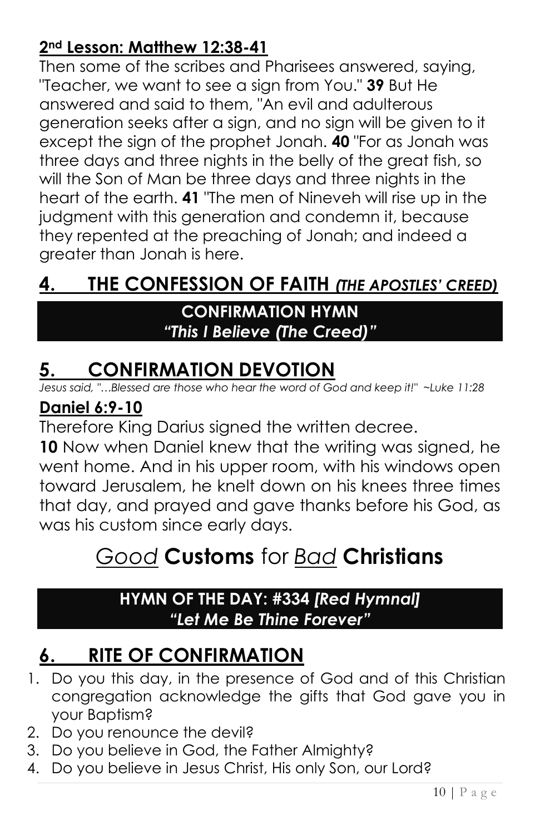#### **2nd Lesson: Matthew 12:38-41**

Then some of the scribes and Pharisees answered, saying, "Teacher, we want to see a sign from You." **39** But He answered and said to them, "An evil and adulterous generation seeks after a sign, and no sign will be given to it except the sign of the prophet Jonah. **40** "For as Jonah was three days and three nights in the belly of the great fish, so will the Son of Man be three days and three nights in the heart of the earth. **41** "The men of Nineveh will rise up in the judgment with this generation and condemn it, because they repented at the preaching of Jonah; and indeed a greater than Jonah is here.

## **4. THE CONFESSION OF FAITH** *(THE APOSTLES' CREED)*

#### **CONFIRMATION HYMN** *"This I Believe (The Creed)"*

## **5. CONFIRMATION DEVOTION**

*Jesus said, "…Blessed are those who hear the word of God and keep it!" ~Luke 11:28*

#### **Daniel 6:9-10**

Therefore King Darius signed the written decree.

**10** Now when Daniel knew that the writing was signed, he went home. And in his upper room, with his windows open toward Jerusalem, he knelt down on his knees three times that day, and prayed and gave thanks before his God, as was his custom since early days.

## *Good* **Customs** for *Bad* **Christians**

#### **HYMN OF THE DAY: #334** *[Red Hymnal] "Let Me Be Thine Forever"*

## **6. RITE OF CONFIRMATION**

- 1. Do you this day, in the presence of God and of this Christian congregation acknowledge the gifts that God gave you in your Baptism?
- 2. Do you renounce the devil?
- 3. Do you believe in God, the Father Almighty?
- 4. Do you believe in Jesus Christ, His only Son, our Lord?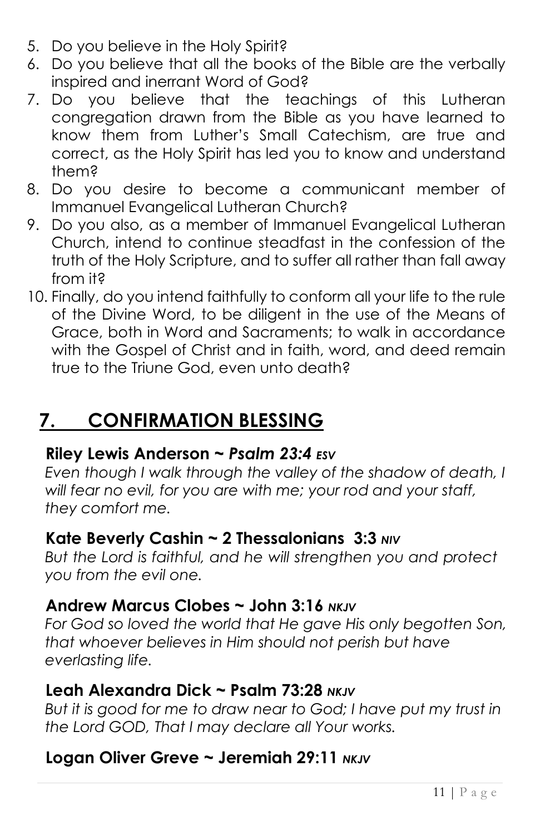- 5. Do you believe in the Holy Spirit?
- 6. Do you believe that all the books of the Bible are the verbally inspired and inerrant Word of God?
- 7. Do you believe that the teachings of this Lutheran congregation drawn from the Bible as you have learned to know them from Luther's Small Catechism, are true and correct, as the Holy Spirit has led you to know and understand them?
- 8. Do you desire to become a communicant member of Immanuel Evangelical Lutheran Church?
- 9. Do you also, as a member of Immanuel Evangelical Lutheran Church, intend to continue steadfast in the confession of the truth of the Holy Scripture, and to suffer all rather than fall away from it?
- 10. Finally, do you intend faithfully to conform all your life to the rule of the Divine Word, to be diligent in the use of the Means of Grace, both in Word and Sacraments; to walk in accordance with the Gospel of Christ and in faith, word, and deed remain true to the Triune God, even unto death?

## **7. CONFIRMATION BLESSING**

#### **Riley Lewis Anderson ~** *Psalm 23:4 ESV*

*Even though I walk through the valley of the shadow of death, I will fear no evil, for you are with me; your rod and your staff, they comfort me.* 

#### **Kate Beverly Cashin ~ 2 Thessalonians 3:3** *NIV*

*But the Lord is faithful, and he will strengthen you and protect you from the evil one.* 

#### **Andrew Marcus Clobes ~ John 3:16** *NKJV*

*For God so loved the world that He gave His only begotten Son, that whoever believes in Him should not perish but have everlasting life.* 

#### **Leah Alexandra Dick ~ Psalm 73:28** *NKJV*

But it is good for me to draw near to God; I have put my trust in *the Lord GOD, That I may declare all Your works.* 

#### **Logan Oliver Greve ~ Jeremiah 29:11** *NKJV*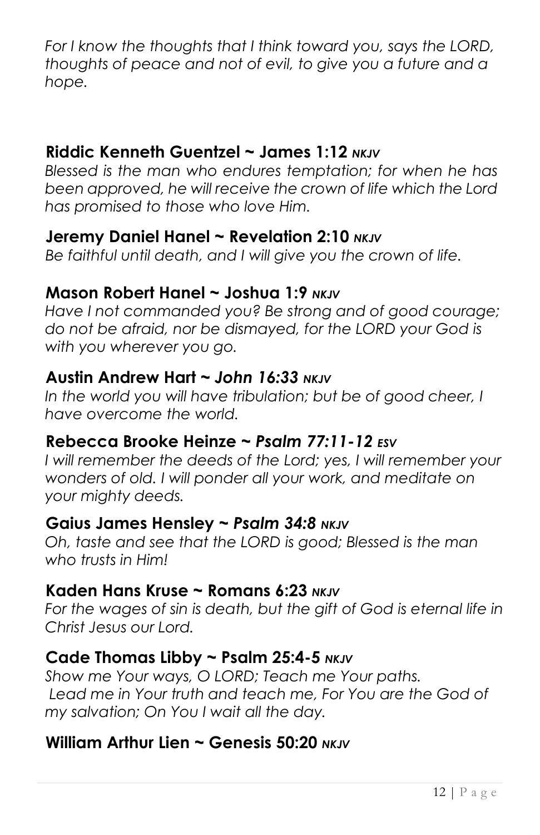*For I know the thoughts that I think toward you, says the LORD, thoughts of peace and not of evil, to give you a future and a hope.* 

#### **Riddic Kenneth Guentzel ~ James 1:12** *NKJV*

*Blessed is the man who endures temptation; for when he has been approved, he will receive the crown of life which the Lord has promised to those who love Him.* 

#### **Jeremy Daniel Hanel ~ Revelation 2:10** *NKJV*

*Be faithful until death, and I will give you the crown of life.* 

#### **Mason Robert Hanel ~ Joshua 1:9** *NKJV*

*Have I not commanded you? Be strong and of good courage; do not be afraid, nor be dismayed, for the LORD your God is with you wherever you go.*

#### **Austin Andrew Hart ~** *John 16:33 NKJV*

In the world you will have tribulation; but be of good cheer, I *have overcome the world.* 

#### **Rebecca Brooke Heinze ~** *Psalm 77:11-12 ESV*

*I will remember the deeds of the Lord; yes, I will remember your wonders of old. I will ponder all your work, and meditate on your mighty deeds.*

#### **Gaius James Hensley ~** *Psalm 34:8 NKJV*

*Oh, taste and see that the LORD is good; Blessed is the man who trusts in Him!* 

#### **Kaden Hans Kruse ~ Romans 6:23** *NKJV*

For the wages of sin is death, but the gift of God is eternal life in *Christ Jesus our Lord.* 

#### **Cade Thomas Libby ~ Psalm 25:4-5** *NKJV*

*Show me Your ways, O LORD; Teach me Your paths.* Lead me in Your truth and teach me, For You are the God of *my salvation; On You I wait all the day.* 

#### **William Arthur Lien ~ Genesis 50:20** *NKJV*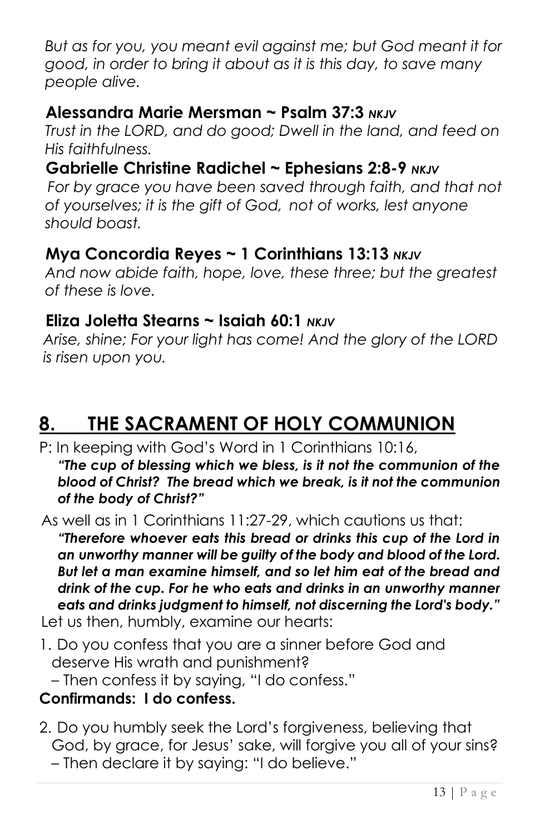*But as for you, you meant evil against me; but God meant it for good, in order to bring it about as it is this day, to save many people alive.*

#### **Alessandra Marie Mersman ~ Psalm 37:3** *NKJV*

*Trust in the LORD, and do good; Dwell in the land, and feed on His faithfulness.* 

#### **Gabrielle Christine Radichel ~ Ephesians 2:8-9** *NKJV*

*For by grace you have been saved through faith, and that not of yourselves; it is the gift of God, not of works, lest anyone should boast.*

#### **Mya Concordia Reyes ~ 1 Corinthians 13:13** *NKJV*

*And now abide faith, hope, love, these three; but the greatest of these is love.* 

#### **Eliza Joletta Stearns ~ Isaiah 60:1** *NKJV*

*Arise, shine; For your light has come! And the glory of the LORD is risen upon you.* 

## **8. THE SACRAMENT OF HOLY COMMUNION**

P: In keeping with God's Word in 1 Corinthians 10:16, *"The cup of blessing which we bless, is it not the communion of the blood of Christ? The bread which we break, is it not the communion of the body of Christ?"*

As well as in 1 Corinthians 11:27-29, which cautions us that:

*"Therefore whoever eats this bread or drinks this cup of the Lord in an unworthy manner will be guilty of the body and blood of the Lord. But let a man examine himself, and so let him eat of the bread and drink of the cup. For he who eats and drinks in an unworthy manner eats and drinks judgment to himself, not discerning the Lord's body."*

Let us then, humbly, examine our hearts:

1. Do you confess that you are a sinner before God and deserve His wrath and punishment? – Then confess it by saying, "I do confess."

#### **Confirmands: I do confess.**

2. Do you humbly seek the Lord's forgiveness, believing that God, by grace, for Jesus' sake, will forgive you all of your sins? – Then declare it by saying: "I do believe."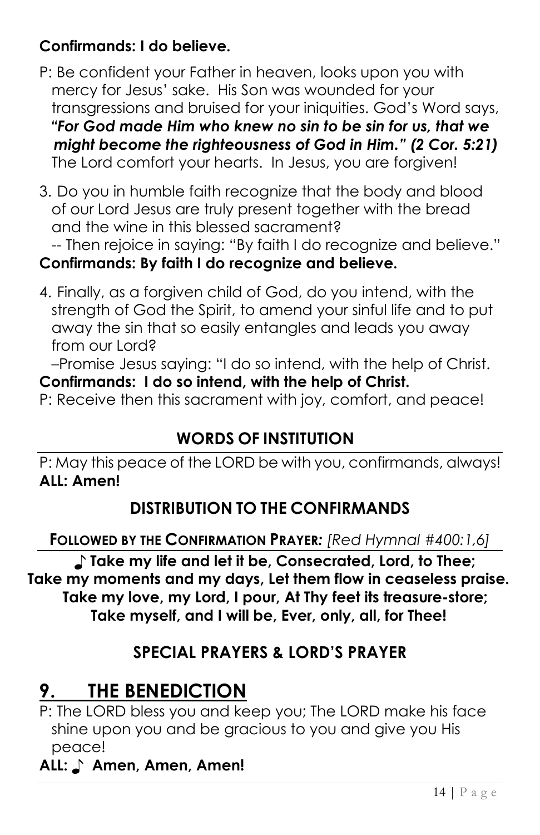#### **Confirmands: I do believe.**

- P: Be confident your Father in heaven, looks upon you with mercy for Jesus' sake. His Son was wounded for your transgressions and bruised for your iniquities. God's Word says, *"For God made Him who knew no sin to be sin for us, that we might become the righteousness of God in Him." (2 Cor. 5:21)* The Lord comfort your hearts. In Jesus, you are forgiven!
- 3. Do you in humble faith recognize that the body and blood of our Lord Jesus are truly present together with the bread and the wine in this blessed sacrament?

#### -- Then rejoice in saying: "By faith I do recognize and believe." **Confirmands: By faith I do recognize and believe.**

4. Finally, as a forgiven child of God, do you intend, with the strength of God the Spirit, to amend your sinful life and to put away the sin that so easily entangles and leads you away from our Lord?

–Promise Jesus saying: "I do so intend, with the help of Christ. **Confirmands: I do so intend, with the help of Christ.**

P: Receive then this sacrament with joy, comfort, and peace!

### **WORDS OF INSTITUTION**

P: May this peace of the LORD be with you, confirmands, always! **ALL: Amen!**

### **DISTRIBUTION TO THE CONFIRMANDS**

**FOLLOWED BY THE CONFIRMATION PRAYER***: [Red Hymnal #400:1,6]*

♪ **Take my life and let it be, Consecrated, Lord, to Thee; Take my moments and my days, Let them flow in ceaseless praise. Take my love, my Lord, I pour, At Thy feet its treasure-store; Take myself, and I will be, Ever, only, all, for Thee!**

#### **SPECIAL PRAYERS & LORD'S PRAYER**

## **9. THE BENEDICTION**

P: The LORD bless you and keep you; The LORD make his face shine upon you and be gracious to you and give you His peace!

#### **ALL:** ♪ **Amen, Amen, Amen!**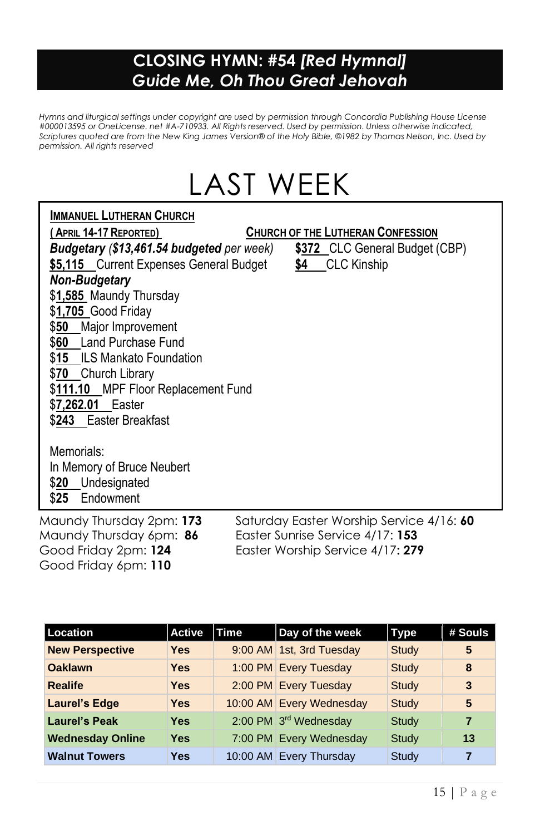#### **CLOSING HYMN: #54** *[Red Hymnal] Guide Me, Oh Thou Great Jehovah*

*Hymns and liturgical settings under copyright are used by permission through Concordia Publishing House License #000013595 or OneLicense. net #A-710933. All Rights reserved. Used by permission. Unless otherwise indicated, Scriptures quoted are from the New King James Version® of the Holy Bible, ©1982 by Thomas Nelson, Inc. Used by permission. All rights reserved*

## LAST WEEK

#### **IMMANUEL LUTHERAN CHURCH**

| (April 14-17 Reported)                    |     | <b>CHURCH OF THE LUTHERAN CONFESSION</b>  |                                          |
|-------------------------------------------|-----|-------------------------------------------|------------------------------------------|
| Budgetary (\$13,461.54 budgeted per week) |     |                                           | \$372 CLC General Budget (CBP)           |
| \$5,115 Current Expenses General Budget   | \$4 | <b>CLC</b> Kinship                        |                                          |
| Non-Budgetary                             |     |                                           |                                          |
| \$1,585 Maundy Thursday                   |     |                                           |                                          |
| \$1,705 Good Friday                       |     |                                           |                                          |
| \$50 Major Improvement                    |     |                                           |                                          |
| \$60 Land Purchase Fund                   |     |                                           |                                          |
| \$15 ILS Mankato Foundation               |     |                                           |                                          |
| \$70 Church Library                       |     |                                           |                                          |
| \$111.10 MPF Floor Replacement Fund       |     |                                           |                                          |
| \$7,262.01 Easter                         |     |                                           |                                          |
| \$243 Easter Breakfast                    |     |                                           |                                          |
|                                           |     |                                           |                                          |
| Memorials:                                |     |                                           |                                          |
| In Memory of Bruce Neubert                |     |                                           |                                          |
| \$20 Undesignated                         |     |                                           |                                          |
| \$25 Endowment                            |     |                                           |                                          |
| Maundy Thursday 2pm: 173                  |     |                                           | Saturday Easter Worship Service 4/16: 60 |
| Maundy Thursday 6pm: 86                   |     | Easter Sunrise Service 4/17: 153          |                                          |
| $C$ and $E$ day $O$ nn. 104               |     | $E_{\alpha}$ tor Warship Sonjoo 4/17. 970 |                                          |

Good Friday 6pm: **110** 

*In Memory of Olive Lecker*

Good Friday 2pm: **124** Easter Worship Service 4/17**: 279**

| <b>Location</b>         | <b>Active</b> | <b>Time</b> | Day of the week          | <b>Type</b>  | # Souls |
|-------------------------|---------------|-------------|--------------------------|--------------|---------|
| <b>New Perspective</b>  | <b>Yes</b>    |             | 9:00 AM 1st, 3rd Tuesday | <b>Study</b> | 5       |
| <b>Oaklawn</b>          | Yes           |             | 1:00 PM Every Tuesday    | Study        | 8       |
| <b>Realife</b>          | Yes           |             | 2:00 PM Every Tuesday    | Study        | 3       |
| <b>Laurel's Edge</b>    | <b>Yes</b>    |             | 10:00 AM Every Wednesday | Study        | 5       |
| <b>Laurel's Peak</b>    | <b>Yes</b>    |             | 2:00 PM 3rd Wednesday    | Study        | 7       |
| <b>Wednesday Online</b> | Yes           |             | 7:00 PM Every Wednesday  | Study        | 13      |
| <b>Walnut Towers</b>    | <b>Yes</b>    |             | 10:00 AM Every Thursday  | Study        | 7       |
|                         |               |             |                          |              |         |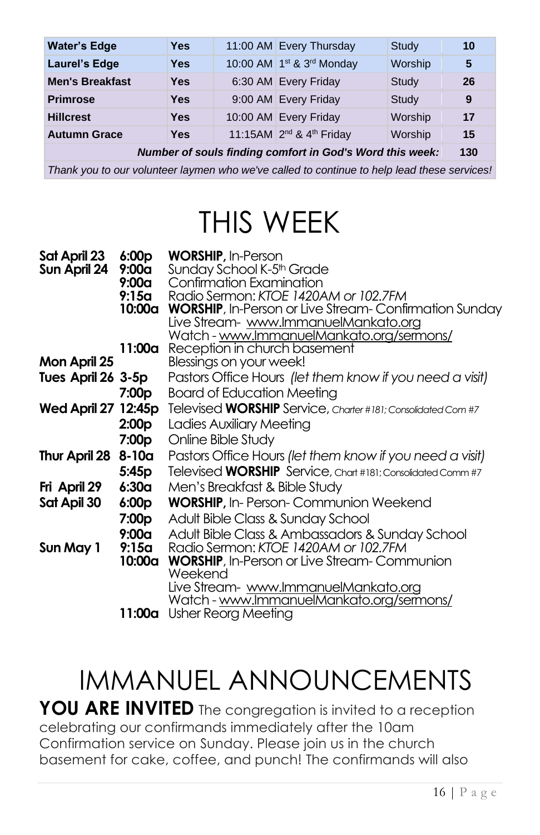| <b>Water's Edge</b>                                      | <b>Yes</b> |  | 11:00 AM Every Thursday                          | Study   | 10  |
|----------------------------------------------------------|------------|--|--------------------------------------------------|---------|-----|
| <b>Laurel's Edge</b>                                     | Yes        |  | 10:00 AM 1st & 3rd Monday                        | Worship | 5   |
| <b>Men's Breakfast</b>                                   | <b>Yes</b> |  | 6:30 AM Every Friday                             | Study   | 26  |
| <b>Primrose</b>                                          | Yes        |  | 9:00 AM Every Friday                             | Study   | 9   |
| <b>Hillcrest</b>                                         | <b>Yes</b> |  | 10:00 AM Every Friday                            | Worship | 17  |
| <b>Autumn Grace</b>                                      | <b>Yes</b> |  | 11:15AM 2 <sup>nd</sup> & 4 <sup>th</sup> Friday | Worship | 15  |
| Number of souls finding comfort in God's Word this week: |            |  |                                                  |         | 130 |

*Thank you to our volunteer laymen who we've called to continue to help lead these services!* 

## THIS WEEK

| Sat April 23        | 6:00p   | <b>WORSHIP, In-Person</b>                                           |
|---------------------|---------|---------------------------------------------------------------------|
| Sun April 24        | 9:00a   | Sunday School K-5 <sup>th</sup> Grade                               |
|                     | 9:00a   | Confirmation Examination                                            |
|                     | 9:15a   | Radio Sermon: KTOE 1420AM or 102.7FM                                |
|                     | 10:00a  | <b>WORSHIP</b> , In-Person or Live Stream-Confirmation Sunday       |
|                     |         | Live Stream- www.ImmanuelMankato.org                                |
|                     |         | Watch - www.ImmanuelMankato.org/sermons/                            |
| Mon April 25        | 11:00a  | Reception in church basement                                        |
|                     |         | Blessings on your week!                                             |
| Tues April 26 3-5p  |         | Pastors Office Hours (let them know if you need a visit)            |
|                     | 7:00p   | <b>Board of Education Meeting</b>                                   |
| Wed April 27 12:45p |         | Televised <b>WORSHIP</b> Service, Charter #181; Consolidated Com #7 |
|                     | 2:00p   | Ladies Auxiliary Meeting                                            |
|                     | 7:00p   | Online Bible Study                                                  |
| Thur April 28       | $8-10a$ | Pastors Office Hours (let them know if you need a visit)            |
|                     | 5:45p   | Televised WORSHIP Service, Chart #181; Consolidated Comm #7         |
| Fri April 29        | 6:30a   | Men's Breakfast & Bible Study                                       |
| Sat Apil 30         | 6:00p   | <b>WORSHIP, In-Person-Communion Weekend</b>                         |
|                     | 7:00p   | Adult Bible Class & Sunday School                                   |
|                     | 9:00a   | Adult Bible Class & Ambassadors & Sunday School                     |
| Sun May 1           | 9:15a   | Radio Sermon: KTOE 1420AM or 102.7FM                                |
|                     | 10:00a  | <b>WORSHIP</b> , In-Person or Live Stream-Communion                 |
|                     |         | Weekend                                                             |
|                     |         | Live Stream- www.ImmanuelMankato.org                                |
|                     |         | Watch - www.ImmanuelMankato.org/sermons/                            |
|                     | 11:00a  | Usher Reorg Meeting                                                 |

## IMMANUEL ANNOUNCEMENTS

YOU ARE INVITED The congregation is invited to a reception celebrating our confirmands immediately after the 10am Confirmation service on Sunday. Please join us in the church basement for cake, coffee, and punch! The confirmands will also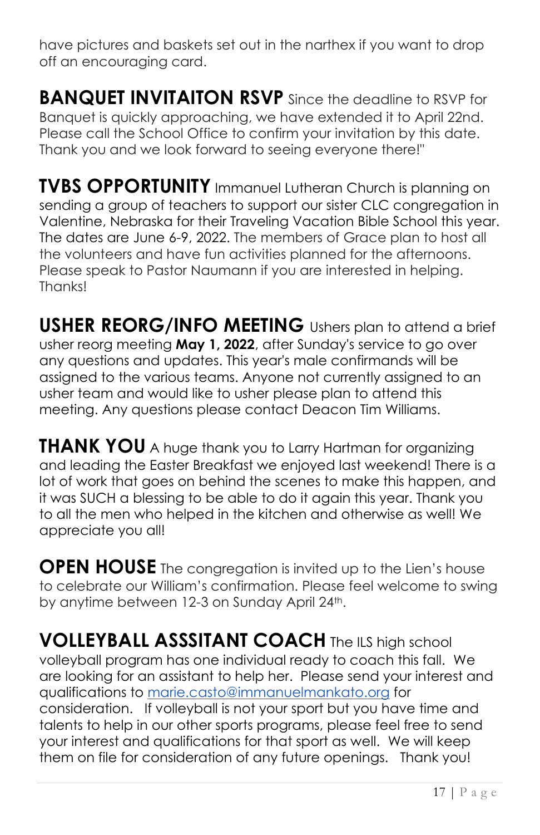have pictures and baskets set out in the narthex if you want to drop off an encouraging card.

**BANQUET INVITAITON RSVP** Since the deadline to RSVP for Banquet is quickly approaching, we have extended it to April 22nd. Please call the School Office to confirm your invitation by this date. Thank you and we look forward to seeing everyone there!"

**TVBS OPPORTUNITY** Immanuel Lutheran Church is planning on sending a group of teachers to support our sister CLC congregation in Valentine, Nebraska for their Traveling Vacation Bible School this year. The dates are June 6-9, 2022. The members of Grace plan to host all the volunteers and have fun activities planned for the afternoons. Please speak to Pastor Naumann if you are interested in helping. Thanks!

**USHER REORG/INFO MEETING** Ushers plan to attend a brief usher reorg meeting **May 1, 2022**, after Sunday's service to go over any questions and updates. This year's male confirmands will be assigned to the various teams. Anyone not currently assigned to an usher team and would like to usher please plan to attend this meeting. Any questions please contact Deacon Tim Williams.

**THANK YOU** A huge thank you to Larry Hartman for organizing and leading the Easter Breakfast we enjoyed last weekend! There is a lot of work that goes on behind the scenes to make this happen, and it was SUCH a blessing to be able to do it again this year. Thank you to all the men who helped in the kitchen and otherwise as well! We appreciate you all!

**OPEN HOUSE** The congregation is invited up to the Lien's house to celebrate our William's confirmation. Please feel welcome to swing by anytime between 12-3 on Sunday April 24<sup>th</sup>.

**VOLLEYBALL ASSSITANT COACH** The ILS high school volleyball program has one individual ready to coach this fall. We are looking for an assistant to help her. Please send your interest and qualifications to [marie.casto@immanuelmankato.org](mailto:marie.casto@immanuelmankato.org) for consideration. If volleyball is not your sport but you have time and talents to help in our other sports programs, please feel free to send your interest and qualifications for that sport as well. We will keep them on file for consideration of any future openings. Thank you!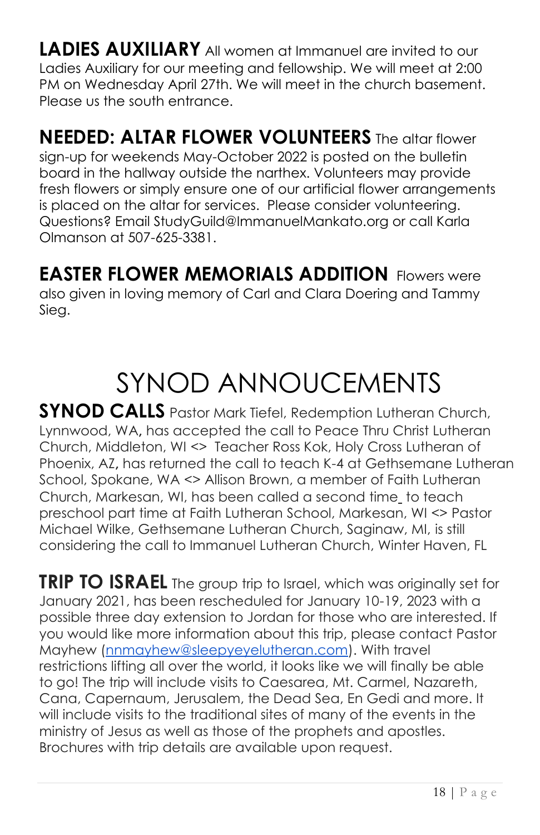**LADIES AUXILIARY** All women at Immanuel are invited to our Ladies Auxiliary for our meeting and fellowship. We will meet at 2:00 PM on Wednesday April 27th. We will meet in the church basement. Please us the south entrance.

**NEEDED: ALTAR FLOWER VOLUNTEERS** The altar flower sign-up for weekends May-October 2022 is posted on the bulletin board in the hallway outside the narthex. Volunteers may provide fresh flowers or simply ensure one of our artificial flower arrangements is placed on the altar for services. Please consider volunteering. Questions? Email StudyGuild@ImmanuelMankato.org or call Karla Olmanson at 507-625-3381.

**EASTER FLOWER MEMORIALS ADDITION** Flowers were also given in loving memory of Carl and Clara Doering and Tammy Sieg.

## SYNOD ANNOUCEMENTS

**SYNOD CALLS** Pastor Mark Tiefel, Redemption Lutheran Church, Lynnwood, WA**,** has accepted the call to Peace Thru Christ Lutheran Church, Middleton, WI <> Teacher Ross Kok, Holy Cross Lutheran of Phoenix, AZ**,** has returned the call to teach K-4 at Gethsemane Lutheran School, Spokane, WA <> Allison Brown, a member of Faith Lutheran Church, Markesan, WI, has been called a second time to teach preschool part time at Faith Lutheran School, Markesan, WI <> Pastor Michael Wilke, Gethsemane Lutheran Church, Saginaw, MI, is still considering the call to Immanuel Lutheran Church, Winter Haven, FL

**TRIP TO ISRAEL** The group trip to Israel, which was originally set for January 2021, has been rescheduled for January 10-19, 2023 with a possible three day extension to Jordan for those who are interested. If you would like more information about this trip, please contact Pastor Mayhew [\(nnmayhew@sleepyeyelutheran.com\)](mailto:nnmayhew@sleepyeyelutheran.com). With travel restrictions lifting all over the world, it looks like we will finally be able to go! The trip will include visits to Caesarea, Mt. Carmel, Nazareth, Cana, Capernaum, Jerusalem, the Dead Sea, En Gedi and more. It will include visits to the traditional sites of many of the events in the ministry of Jesus as well as those of the prophets and apostles. Brochures with trip details are available upon request.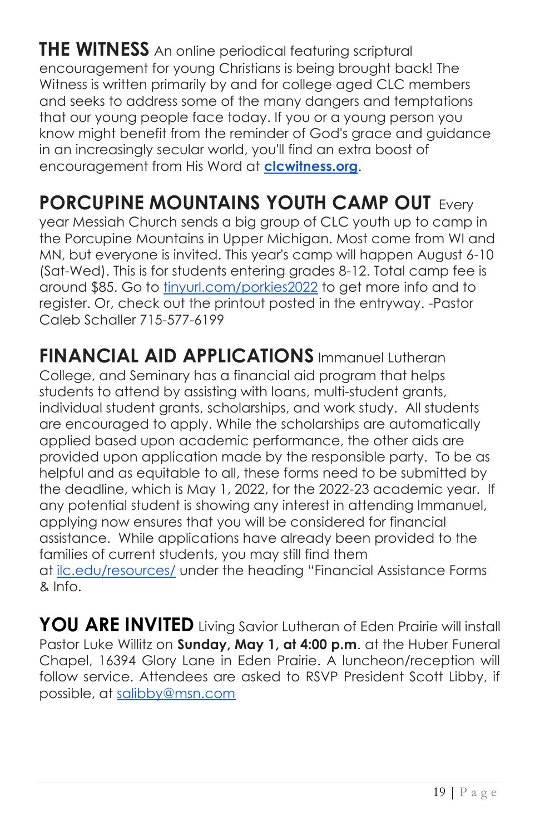**THE WITNESS** An online periodical featuring scriptural encouragement for young Christians is being brought back! The Witness is written primarily by and for college aged CLC members and seeks to address some of the many dangers and temptations that our young people face today. If you or a young person you know might benefit from the reminder of God's grace and guidance in an increasingly secular world, you'll find an extra boost of encouragement from His Word at **[clcwitness.org](http://clcwitness.org/)**.

## **PORCUPINE MOUNTAINS YOUTH CAMP OUT** Every

year Messiah Church sends a big group of CLC youth up to camp in the Porcupine Mountains in Upper Michigan. Most come from WI and MN, but everyone is invited. This year's camp will happen August 6-10 (Sat-Wed). This is for students entering grades 8-12. Total camp fee is around \$85. Go to [tinyurl.com/porkies2022](https://tinyurl.com/porkies2022?fbclid=IwAR1xS4jCu55udEGT-vvENJjeK_h9gmP6X0R6es4lwLQFaMpt9JiDtbzG8YU) to get more info and to register. Or, check out the printout posted in the entryway. -Pastor Caleb Schaller 715-577-6199

**FINANCIAL AID APPLICATIONS** Immanuel Lutheran College, and Seminary has a financial aid program that helps students to attend by assisting with loans, multi-student grants, individual student grants, scholarships, and work study. All students are encouraged to apply. While the scholarships are automatically applied based upon academic performance, the other aids are provided upon application made by the responsible party. To be as helpful and as equitable to all, these forms need to be submitted by the deadline, which is May 1, 2022, for the 2022-23 academic year. If any potential student is showing any interest in attending Immanuel, applying now ensures that you will be considered for financial assistance. While applications have already been provided to the families of current students, you may still find them at [ilc.edu/resources/](http://ilc.edu/resources/) under the heading "Financial Assistance Forms & Info.

**YOU ARE INVITED** Living Savior Lutheran of Eden Prairie will install Pastor Luke Willitz on **Sunday, May 1, at 4:00 p.m**. at the Huber Funeral Chapel, 16394 Glory Lane in Eden Prairie. A luncheon/reception will follow service. Attendees are asked to RSVP President Scott Libby, if possible, at [salibby@msn.com](mailto:salibby@msn.com)